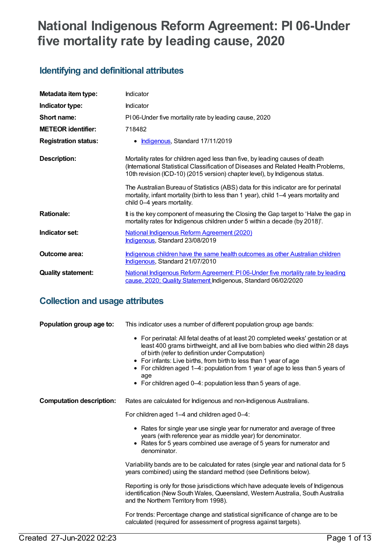# **National Indigenous Reform Agreement: PI 06-Under five mortality rate by leading cause, 2020**

# **Identifying and definitional attributes**

| Metadata item type:         | Indicator                                                                                                                                                                                                                                         |
|-----------------------------|---------------------------------------------------------------------------------------------------------------------------------------------------------------------------------------------------------------------------------------------------|
| Indicator type:             | Indicator                                                                                                                                                                                                                                         |
| Short name:                 | PI06-Under five mortality rate by leading cause, 2020                                                                                                                                                                                             |
| <b>METEOR</b> identifier:   | 718482                                                                                                                                                                                                                                            |
| <b>Registration status:</b> | • Indigenous, Standard 17/11/2019                                                                                                                                                                                                                 |
| <b>Description:</b>         | Mortality rates for children aged less than five, by leading causes of death<br>(International Statistical Classification of Diseases and Related Health Problems,<br>10th revision (ICD-10) (2015 version) chapter level), by Indigenous status. |
|                             | The Australian Bureau of Statistics (ABS) data for this indicator are for perinatal<br>mortality, infant mortality (birth to less than 1 year), child 1-4 years mortality and<br>child 0-4 years mortality.                                       |
| <b>Rationale:</b>           | It is the key component of measuring the Closing the Gap target to 'Halve the gap in<br>mortality rates for Indigenous children under 5 within a decade (by 2018)'.                                                                               |
| Indicator set:              | National Indigenous Reform Agreement (2020)<br>Indigenous, Standard 23/08/2019                                                                                                                                                                    |
| Outcome area:               | <u>Indigenous children have the same health outcomes as other Australian children</u><br>Indigenous, Standard 21/07/2010                                                                                                                          |
| <b>Quality statement:</b>   | National Indigenous Reform Agreement: PI06-Under five mortality rate by leading<br>cause, 2020; Quality Statement Indigenous, Standard 06/02/2020                                                                                                 |

# **Collection and usage attributes**

| Population group age to:        | This indicator uses a number of different population group age bands:                                                                                                                                                                                                                                                                                                                                                                                 |
|---------------------------------|-------------------------------------------------------------------------------------------------------------------------------------------------------------------------------------------------------------------------------------------------------------------------------------------------------------------------------------------------------------------------------------------------------------------------------------------------------|
|                                 | • For perinatal: All fetal deaths of at least 20 completed weeks' gestation or at<br>least 400 grams birthweight, and all live born babies who died within 28 days<br>of birth (refer to definition under Computation)<br>• For infants: Live births, from birth to less than 1 year of age<br>• For children aged 1-4: population from 1 year of age to less than 5 years of<br>age<br>• For children aged 0-4: population less than 5 years of age. |
| <b>Computation description:</b> | Rates are calculated for Indigenous and non-Indigenous Australians.                                                                                                                                                                                                                                                                                                                                                                                   |
|                                 | For children aged 1-4 and children aged 0-4:                                                                                                                                                                                                                                                                                                                                                                                                          |
|                                 | • Rates for single year use single year for numerator and average of three<br>years (with reference year as middle year) for denominator.<br>• Rates for 5 years combined use average of 5 years for numerator and<br>denominator.                                                                                                                                                                                                                    |
|                                 | Variability bands are to be calculated for rates (single year and national data for 5<br>years combined) using the standard method (see Definitions below).                                                                                                                                                                                                                                                                                           |
|                                 | Reporting is only for those jurisdictions which have adequate levels of Indigenous<br>identification (New South Wales, Queensland, Western Australia, South Australia<br>and the Northern Territory from 1998).                                                                                                                                                                                                                                       |
|                                 | For trends: Percentage change and statistical significance of change are to be<br>calculated (required for assessment of progress against targets).                                                                                                                                                                                                                                                                                                   |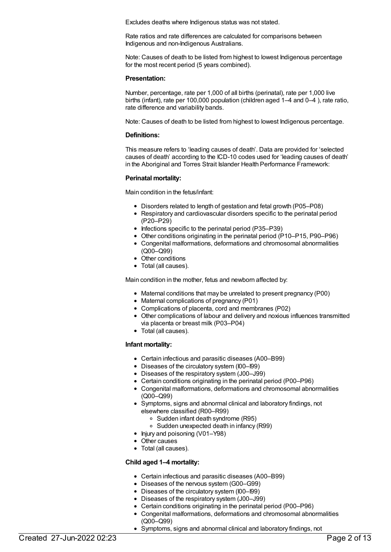Excludes deaths where Indigenous status was not stated.

Rate ratios and rate differences are calculated for comparisons between Indigenous and non-Indigenous Australians.

Note: Causes of death to be listed from highest to lowest Indigenous percentage for the most recent period (5 years combined).

#### **Presentation:**

Number, percentage, rate per 1,000 of all births (perinatal), rate per 1,000 live births (infant), rate per 100,000 population (children aged 1–4 and 0–4 ), rate ratio, rate difference and variability bands.

Note: Causes of death to be listed from highest to lowest Indigenous percentage.

#### **Definitions:**

This measure refers to 'leading causes of death'. Data are provided for 'selected causes of death' according to the ICD-10 codes used for 'leading causes of death' in the Aboriginal and Torres Strait Islander Health Performance Framework:

# **Perinatal mortality:**

Main condition in the fetus/infant:

- Disorders related to length of gestation and fetal growth (P05–P08)
- Respiratory and cardiovascular disorders specific to the perinatal period (P20–P29)
- $\bullet$  Infections specific to the perinatal period (P35–P39)
- Other conditions originating in the perinatal period (P10–P15, P90–P96)
- Congenital malformations, deformations and chromosomal abnormalities (Q00–Q99)
- Other conditions
- Total (all causes).

Main condition in the mother, fetus and newborn affected by:

- Maternal conditions that may be unrelated to present pregnancy (P00)
- Maternal complications of pregnancy (P01)
- Complications of placenta, cord and membranes (P02)
- Other complications of labour and delivery and noxious influences transmitted via placenta or breast milk (P03–P04)
- Total (all causes).

# **Infant mortality:**

- Certain infectious and parasitic diseases (A00–B99)
- Diseases of the circulatory system (I00–I99)
- Diseases of the respiratory system (J00–J99)
- Certain conditions originating in the perinatal period (P00–P96)
- Congenital malformations, deformations and chromosomal abnormalities (Q00–Q99)
- Symptoms, signs and abnormal clinical and laboratory findings, not elsewhere classified (R00–R99)
	- Sudden infant death syndrome (R95)
	- Sudden unexpected death in infancy (R99)
- Injury and poisoning (V01–Y98)
- Other causes
- Total (all causes).

# **Child aged 1–4 mortality:**

- Certain infectious and parasitic diseases (A00–B99)
- Diseases of the nervous system (G00–G99)
- Diseases of the circulatory system (I00–I99)
- Diseases of the respiratory system (J00–J99)
- Certain conditions originating in the perinatal period (P00–P96)
- Congenital malformations, deformations and chromosomal abnormalities (Q00–Q99)
- Symptoms, signs and abnormal clinical and laboratory findings, not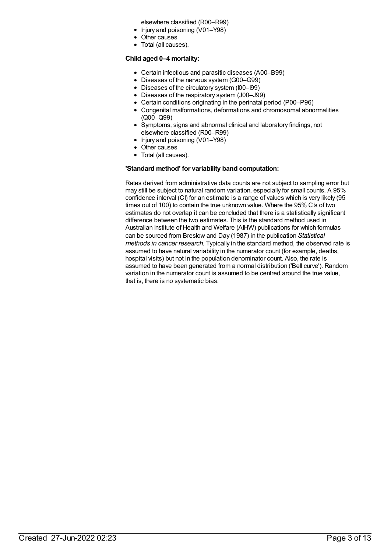elsewhere classified (R00–R99)

- Injury and poisoning (V01–Y98)
- Other causes
- Total (all causes).

# **Child aged 0–4 mortality:**

- Certain infectious and parasitic diseases (A00–B99)
- Diseases of the nervous system (G00–G99)
- Diseases of the circulatory system (I00–I99)
- Diseases of the respiratory system (J00–J99)
- Certain conditions originating in the perinatal period (P00–P96)
- Congenital malformations, deformations and chromosomal abnormalities (Q00–Q99)
- Symptoms, signs and abnormal clinical and laboratory findings, not elsewhere classified (R00–R99)
- Injury and poisoning (V01–Y98)
- Other causes
- Total (all causes).

#### **'Standard method' for variability band computation:**

Rates derived from administrative data counts are not subject to sampling error but may still be subject to natural random variation, especially for small counts. A 95% confidence interval (CI) for an estimate is a range of values which is very likely (95 times out of 100) to contain the true unknown value. Where the 95% CIs of two estimates do not overlap it can be concluded that there is a statistically significant difference between the two estimates. This is the standard method used in Australian Institute of Health and Welfare (AIHW) publications for which formulas can be sourced from Breslow and Day (1987) in the publication *Statistical methods in cancer research.* Typically in the standard method, the observed rate is assumed to have natural variability in the numerator count (for example, deaths, hospital visits) but not in the population denominator count. Also, the rate is assumed to have been generated from a normal distribution ('Bell curve'). Random variation in the numerator count is assumed to be centred around the true value, that is, there is no systematic bias.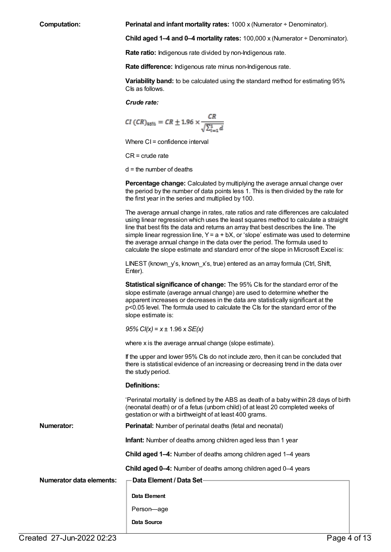**Computation: Perinatal and infant mortality rates:** 1000 x (Numerator ÷ Denominator).

**Child aged 1–4 and 0–4 mortality rates:** 100,000 x (Numerator ÷ Denominator).

**Rate ratio:** Indigenous rate divided by non-Indigenous rate.

**Rate difference:** Indigenous rate minus non-Indigenous rate.

**Variability band:** to be calculated using the standard method for estimating 95% CIs as follows.

*Crude rate:*

$$
CI (CR)_{95\%} = CR \pm 1.96 \times \frac{CR}{\sqrt{\sum_{i=1}^{4} d_i}}
$$

Where CI = confidence interval

CR = crude rate

 $d =$  the number of deaths

**Percentage change:** Calculated by multiplying the average annual change over the period by the number of data points less 1. This is then divided by the rate for the first year in the series and multiplied by 100.

The average annual change in rates, rate ratios and rate differences are calculated using linear regression which uses the least squares method to calculate a straight line that best fits the data and returns an array that best describes the line. The simple linear regression line,  $Y = a + bX$ , or 'slope' estimate was used to determine the average annual change in the data over the period. The formula used to calculate the slope estimate and standard error of the slope in Microsoft Excel is:

LINEST (known\_y's, known\_x's, true) entered as an array formula (Ctrl, Shift, Enter).

**Statistical significance of change:** The 95% CIs for the standard error of the slope estimate (average annual change) are used to determine whether the apparent increases or decreases in the data are statistically significant at the p<0.05 level. The formula used to calculate the CIs for the standard error of the slope estimate is:

*95%CI(x)* = *x* ± 1.96 x *SE(x)*

where x is the average annual change (slope estimate).

If the upper and lower 95% CIs do not include zero, then it can be concluded that there is statistical evidence of an increasing or decreasing trend in the data over the study period.

#### **Definitions:**

'Perinatal mortality' is defined by the ABS as death of a baby within 28 days of birth (neonatal death) or of a fetus (unborn child) of at least 20 completed weeks of gestation or with a birthweight of at least 400 grams.

**Numerator: Perinatal:** Number of perinatal deaths (fetal and neonatal)

**Infant:** Number of deaths among children aged less than 1 year

**Child aged 1–4:** Number of deaths among children aged 1–4 years

**Child aged 0–4:** Number of deaths among children aged 0–4 years

**Numerator data elements: Data Element / Data Set**

**Data Element**

Person—age

**Data Source**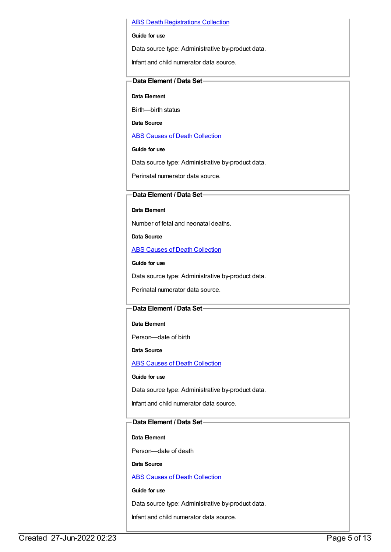#### **ABS Death [Registrations](https://meteor.aihw.gov.au/content/394481) Collection**

#### **Guide for use**

Data source type: Administrative by-product data.

Infant and child numerator data source.

# **Data Element / Data Set**

**Data Element**

Birth—birth status

**Data Source**

ABS Causes of Death [Collection](https://meteor.aihw.gov.au/content/394490)

#### **Guide for use**

Data source type: Administrative by-product data.

Perinatal numerator data source.

# **Data Element / Data Set**

#### **Data Element**

Number of fetal and neonatal deaths.

**Data Source**

**ABS Causes of Death [Collection](https://meteor.aihw.gov.au/content/394490)** 

**Guide for use**

Data source type: Administrative by-product data.

Perinatal numerator data source.

# **Data Element / Data Set**

# **Data Element**

Person—date of birth

**Data Source**

ABS Causes of Death [Collection](https://meteor.aihw.gov.au/content/394490)

**Guide for use**

Data source type: Administrative by-product data.

Infant and child numerator data source.

# **Data Element / Data Set**

# **Data Element**

Person—date of death

# **Data Source**

ABS Causes of Death [Collection](https://meteor.aihw.gov.au/content/394490)

# **Guide for use**

Data source type: Administrative by-product data.

Infant and child numerator data source.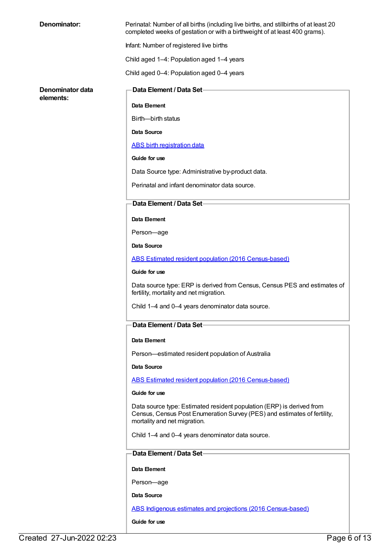| Denominator:                  | Perinatal: Number of all births (including live births, and stillbirths of at least 20<br>completed weeks of gestation or with a birthweight of at least 400 grams).              |
|-------------------------------|-----------------------------------------------------------------------------------------------------------------------------------------------------------------------------------|
|                               | Infant: Number of registered live births                                                                                                                                          |
|                               | Child aged 1-4: Population aged 1-4 years                                                                                                                                         |
|                               | Child aged 0-4: Population aged 0-4 years                                                                                                                                         |
| Denominator data<br>elements: | <b>Data Element / Data Set-</b>                                                                                                                                                   |
|                               | Data Element                                                                                                                                                                      |
|                               | Birth--birth status                                                                                                                                                               |
|                               | Data Source                                                                                                                                                                       |
|                               | <b>ABS</b> birth registration data                                                                                                                                                |
|                               | Guide for use                                                                                                                                                                     |
|                               | Data Source type: Administrative by-product data.                                                                                                                                 |
|                               | Perinatal and infant denominator data source.                                                                                                                                     |
|                               | Data Element / Data Set-                                                                                                                                                          |
|                               | Data Element                                                                                                                                                                      |
|                               | Person-age                                                                                                                                                                        |
|                               | Data Source                                                                                                                                                                       |
|                               | ABS Estimated resident population (2016 Census-based)                                                                                                                             |
|                               | Guide for use                                                                                                                                                                     |
|                               | Data source type: ERP is derived from Census, Census PES and estimates of<br>fertility, mortality and net migration.                                                              |
|                               | Child 1-4 and 0-4 years denominator data source.                                                                                                                                  |
|                               | Data Element / Data Set-                                                                                                                                                          |
|                               | Data Element                                                                                                                                                                      |
|                               | Person-estimated resident population of Australia                                                                                                                                 |
|                               | <b>Data Source</b>                                                                                                                                                                |
|                               | ABS Estimated resident population (2016 Census-based)                                                                                                                             |
|                               | Guide for use                                                                                                                                                                     |
|                               | Data source type: Estimated resident population (ERP) is derived from<br>Census, Census Post Enumeration Survey (PES) and estimates of fertility,<br>mortality and net migration. |
|                               | Child 1-4 and 0-4 years denominator data source.                                                                                                                                  |
|                               | <b>Data Element / Data Set−</b>                                                                                                                                                   |
|                               | Data Element                                                                                                                                                                      |
|                               | Person-age                                                                                                                                                                        |
|                               | Data Source                                                                                                                                                                       |
|                               | ABS Indigenous estimates and projections (2016 Census-based)                                                                                                                      |
|                               | Guide for use                                                                                                                                                                     |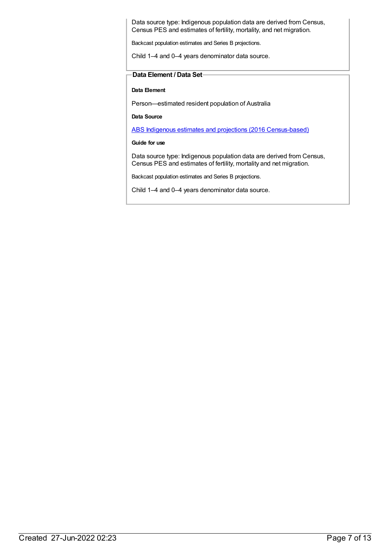Data source type: Indigenous population data are derived from Census, Census PES and estimates of fertility, mortality, and net migration.

Backcast population estimates and Series B projections.

Child 1–4 and 0–4 years denominator data source.

# **Data Element / Data Set**

**Data Element**

Person—estimated resident population of Australia

**Data Source**

ABS Indigenous estimates and projections (2016 [Census-based\)](https://meteor.aihw.gov.au/content/719790)

**Guide for use**

Data source type: Indigenous population data are derived from Census, Census PES and estimates of fertility, mortality and net migration.

Backcast population estimates and Series B projections.

Child 1–4 and 0–4 years denominator data source.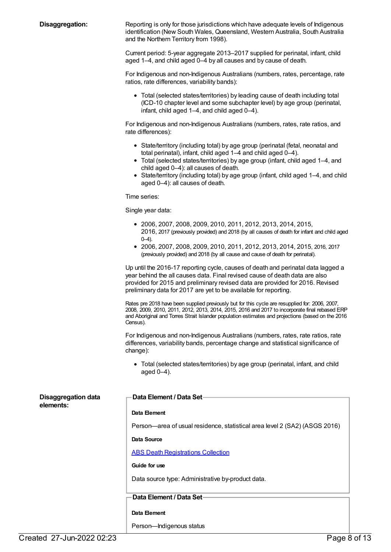**Disaggregation:** Reporting is only for those jurisdictions which have adequate levels of Indigenous identification (New South Wales, Queensland, Western Australia, South Australia and the Northern Territory from 1998).

> Current period: 5-year aggregate 2013–2017 supplied for perinatal, infant, child aged 1–4, and child aged 0–4 by all causes and by cause of death.

For Indigenous and non-Indigenous Australians (numbers, rates, percentage, rate ratios, rate differences, variability bands):

Total (selected states/territories) by leading cause of death including total (ICD-10 chapter level and some subchapter level) by age group (perinatal, infant, child aged 1–4, and child aged 0–4).

For Indigenous and non-Indigenous Australians (numbers, rates, rate ratios, and rate differences):

- State/territory (including total) by age group (perinatal (fetal, neonatal and total perinatal), infant, child aged 1–4 and child aged 0–4).
- Total (selected states/territories) by age group (infant, child aged 1–4, and child aged 0–4): all causes of death.
- State/territory (including total) by age group (infant, child aged 1–4, and child aged 0–4): all causes of death.

Time series:

Single year data:

- 2006, 2007, 2008, 2009, 2010, 2011, 2012, 2013, 2014, 2015, 2016, 2017 (previously provided) and 2018 (by all causes of death for infant and child aged 0–4).
- 2006, 2007, 2008, 2009, 2010, 2011, 2012, 2013, 2014, 2015, 2016, 2017 (previously provided) and 2018 (by all cause and cause of death for perinatal).

Up until the 2016-17 reporting cycle, causes of death and perinatal data lagged a year behind the all causes data. Final revised cause of death data are also provided for 2015 and preliminary revised data are provided for 2016. Revised preliminary data for 2017 are yet to be available for reporting.

Rates pre 2018 have been supplied previously but for this cycle are resupplied for: 2006, 2007, 2008, 2009, 2010, 2011, 2012, 2013, 2014, 2015, 2016 and 2017 to incorporate final rebased ERP and Aboriginal and Torres Strait Islander population estimates and projections (based on the 2016 Census).

For Indigenous and non-Indigenous Australians (numbers, rates, rate ratios, rate differences, variability bands, percentage change and statistical significance of change):

Total (selected states/territories) by age group (perinatal, infant, and child aged 0–4).

| <b>Disaggregation data</b> | Data Element / Data Set-                                                   |
|----------------------------|----------------------------------------------------------------------------|
| elements:                  | Data Element                                                               |
|                            | Person—area of usual residence, statistical area level 2 (SA2) (ASGS 2016) |
|                            | Data Source                                                                |
|                            | <b>ABS Death Registrations Collection</b>                                  |
|                            | Guide for use                                                              |
|                            | Data source type: Administrative by-product data.                          |
|                            | -Data Element / Data Set                                                   |
|                            |                                                                            |
|                            | Data Element                                                               |
|                            | Person-Indigenous status                                                   |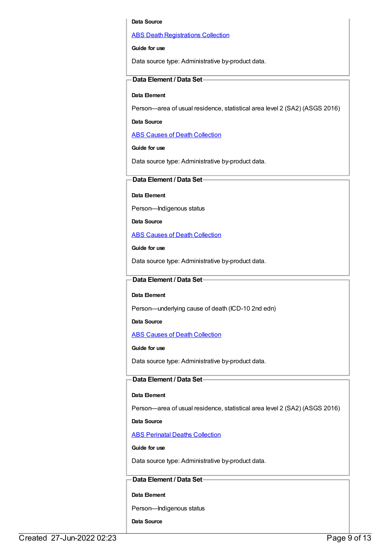#### **Data Source**

#### **ABS Death [Registrations](https://meteor.aihw.gov.au/content/394481) Collection**

#### **Guide for use**

Data source type: Administrative by-product data.

# **Data Element / Data Set**

#### **Data Element**

Person—area of usual residence, statistical area level 2 (SA2) (ASGS 2016)

#### **Data Source**

ABS Causes of Death [Collection](https://meteor.aihw.gov.au/content/394490)

#### **Guide for use**

Data source type: Administrative by-product data.

# **Data Element / Data Set**

**Data Element**

Person—Indigenous status

**Data Source**

ABS Causes of Death [Collection](https://meteor.aihw.gov.au/content/394490)

**Guide for use**

Data source type: Administrative by-product data.

# **Data Element / Data Set**

#### **Data Element**

Person—underlying cause of death (ICD-10 2nd edn)

**Data Source**

ABS Causes of Death [Collection](https://meteor.aihw.gov.au/content/394490)

#### **Guide for use**

Data source type: Administrative by-product data.

# **Data Element / Data Set**

#### **Data Element**

Person—area of usual residence, statistical area level 2 (SA2) (ASGS 2016)

#### **Data Source**

ABS Perinatal Deaths [Collection](https://meteor.aihw.gov.au/content/396455)

# **Guide for use**

Data source type: Administrative by-product data.

# **Data Element / Data Set**

**Data Element**

Person—Indigenous status

**Data Source**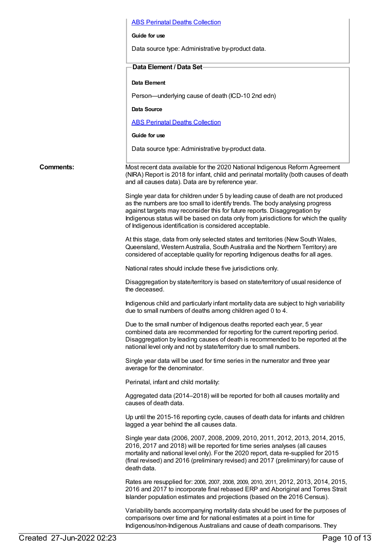# ABS Perinatal Deaths [Collection](https://meteor.aihw.gov.au/content/396455) **Guide for use** Data source type: Administrative by-product data. **Data Element / Data Set Data Element** Person—underlying cause of death (ICD-10 2nd edn) **Data Source** ABS Perinatal Deaths [Collection](https://meteor.aihw.gov.au/content/396455) **Guide for use** Data source type: Administrative by-product data. **Comments:** Most recent data available for the 2020 National Indigenous Reform Agreement (NIRA) Report is 2018 for infant, child and perinatal mortality (both causes of death and all causes data). Data are by reference year. Single year data for children under 5 by leading cause of death are not produced as the numbers are too small to identify trends. The body analysing progress against targets may reconsider this for future reports. Disaggregation by Indigenous status will be based on data only from jurisdictions for which the quality of Indigenous identification is considered acceptable. At this stage, data from only selected states and territories (New South Wales, Queensland, Western Australia, South Australia and the Northern Territory) are considered of acceptable quality for reporting Indigenous deaths for all ages. National rates should include these five jurisdictions only. Disaggregation by state/territory is based on state/territory of usual residence of the deceased. Indigenous child and particularly infant mortality data are subject to high variability due to small numbers of deaths among children aged 0 to 4. Due to the small number of Indigenous deaths reported each year, 5 year combined data are recommended for reporting for the current reporting period. Disaggregation by leading causes of death is recommended to be reported at the national level only and not by state/territory due to small numbers. Single year data will be used for time series in the numerator and three year average for the denominator. Perinatal, infant and child mortality: Aggregated data (2014–2018) will be reported for both all causes mortality and causes of death data. Up until the 2015-16 reporting cycle, causes of death data for infants and children lagged a year behind the all causes data. Single year data (2006, 2007, 2008, 2009, 2010, 2011, 2012, 2013, 2014, 2015, 2016, 2017 and 2018) will be reported for time series analyses (all causes mortality and national level only). For the 2020 report, data re-supplied for 2015 (final revised) and 2016 (preliminary revised) and 2017 (preliminary) for cause of death data. Rates are resupplied for: 2006, 2007, 2008, 2009, 2010, 2011, 2012, 2013, 2014, 2015, 2016 and 2017 to incorporate final rebased ERP and Aboriginal and Torres Strait Islander population estimates and projections (based on the 2016 Census). Variability bands accompanying mortality data should be used for the purposes of comparisons over time and for national estimates at a point in time for

Indigenous/non-Indigenous Australians and cause of death comparisons. They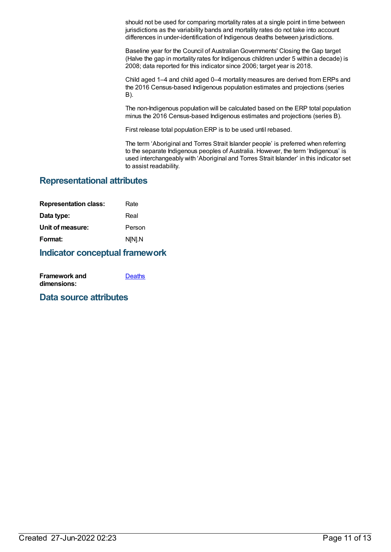should not be used for comparing mortality rates at a single point in time between jurisdictions as the variability bands and mortality rates do not take into account differences in under-identification of Indigenous deaths between jurisdictions.

Baseline year for the Council of Australian Governments' Closing the Gap target (Halve the gap in mortality rates for Indigenous children under 5 within a decade) is 2008; data reported for this indicator since 2006; target year is 2018.

Child aged 1–4 and child aged 0–4 mortality measures are derived from ERPs and the 2016 Census-based Indigenous population estimates and projections (series B).

The non-Indigenous population will be calculated based on the ERP total population minus the 2016 Census-based Indigenous estimates and projections (series B).

First release total population ERP is to be used until rebased.

The term 'Aboriginal and Torres Strait Islander people' is preferred when referring to the separate Indigenous peoples of Australia. However, the term 'Indigenous' is used interchangeably with 'Aboriginal and Torres Strait Islander' in this indicator set to assist readability.

# **Representational attributes**

| Rate   |
|--------|
| Real   |
| Person |
| N[N].N |
|        |

# **Indicator conceptual framework**

| <b>Framework and</b> | <b>Deaths</b> |
|----------------------|---------------|
| dimensions:          |               |

# **Data source attributes**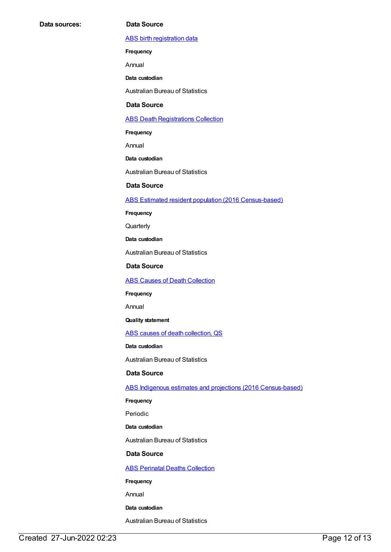#### ABS birth [registration](https://meteor.aihw.gov.au/content/394483) data

**Frequency**

Annual

**Data custodian**

Australian Bureau of Statistics

#### **Data Source**

#### **ABS Death [Registrations](https://meteor.aihw.gov.au/content/394481) Collection**

**Frequency**

Annual

**Data custodian**

Australian Bureau of Statistics

# **Data Source**

#### ABS Estimated resident population (2016 [Census-based\)](https://meteor.aihw.gov.au/content/704699)

**Frequency**

**Quarterly** 

**Data custodian**

Australian Bureau of Statistics

**Data Source**

ABS Causes of Death [Collection](https://meteor.aihw.gov.au/content/394490)

**Frequency**

Annual

# **Quality statement**

ABS causes of death [collection,](https://meteor.aihw.gov.au/content/449206) QS

#### **Data custodian**

Australian Bureau of Statistics

# **Data Source**

ABS Indigenous estimates and projections (2016 [Census-based\)](https://meteor.aihw.gov.au/content/719790)

**Frequency**

Periodic

**Data custodian**

Australian Bureau of Statistics

# **Data Source**

**ABS Perinatal Deaths [Collection](https://meteor.aihw.gov.au/content/396455)** 

**Frequency**

Annual

**Data custodian**

Australian Bureau of Statistics